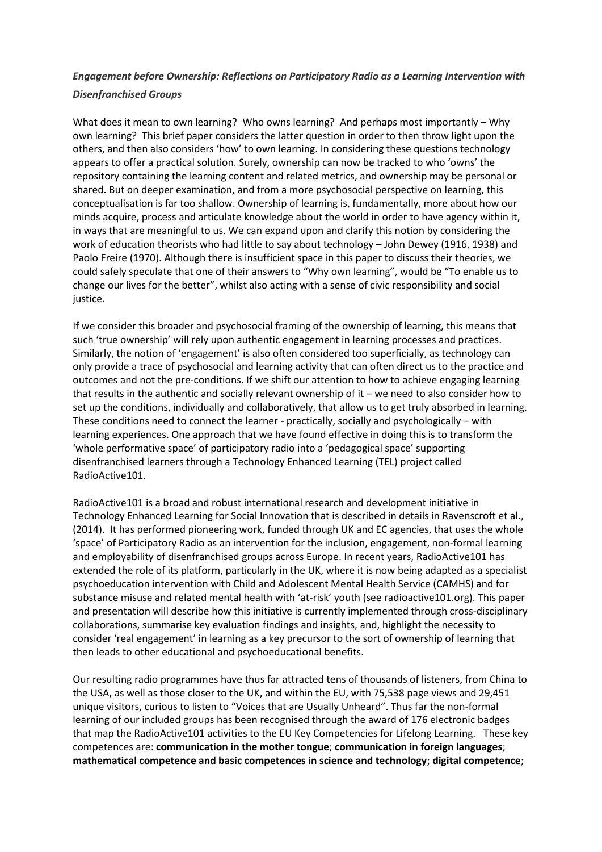## *Engagement before Ownership: Reflections on Participatory Radio as a Learning Intervention with Disenfranchised Groups*

What does it mean to own learning? Who owns learning? And perhaps most importantly – Why own learning? This brief paper considers the latter question in order to then throw light upon the others, and then also considers 'how' to own learning. In considering these questions technology appears to offer a practical solution. Surely, ownership can now be tracked to who 'owns' the repository containing the learning content and related metrics, and ownership may be personal or shared. But on deeper examination, and from a more psychosocial perspective on learning, this conceptualisation is far too shallow. Ownership of learning is, fundamentally, more about how our minds acquire, process and articulate knowledge about the world in order to have agency within it, in ways that are meaningful to us. We can expand upon and clarify this notion by considering the work of education theorists who had little to say about technology – John Dewey (1916, 1938) and Paolo Freire (1970). Although there is insufficient space in this paper to discuss their theories, we could safely speculate that one of their answers to "Why own learning", would be "To enable us to change our lives for the better", whilst also acting with a sense of civic responsibility and social justice.

If we consider this broader and psychosocial framing of the ownership of learning, this means that such 'true ownership' will rely upon authentic engagement in learning processes and practices. Similarly, the notion of 'engagement' is also often considered too superficially, as technology can only provide a trace of psychosocial and learning activity that can often direct us to the practice and outcomes and not the pre-conditions. If we shift our attention to how to achieve engaging learning that results in the authentic and socially relevant ownership of it – we need to also consider how to set up the conditions, individually and collaboratively, that allow us to get truly absorbed in learning. These conditions need to connect the learner - practically, socially and psychologically – with learning experiences. One approach that we have found effective in doing this is to transform the 'whole performative space' of participatory radio into a 'pedagogical space' supporting disenfranchised learners through a Technology Enhanced Learning (TEL) project called RadioActive101.

RadioActive101 is a broad and robust international research and development initiative in Technology Enhanced Learning for Social Innovation that is described in details in Ravenscroft et al., (2014). It has performed pioneering work, funded through UK and EC agencies, that uses the whole 'space' of Participatory Radio as an intervention for the inclusion, engagement, non-formal learning and employability of disenfranchised groups across Europe. In recent years, RadioActive101 has extended the role of its platform, particularly in the UK, where it is now being adapted as a specialist psychoeducation intervention with Child and Adolescent Mental Health Service (CAMHS) and for substance misuse and related mental health with 'at-risk' youth (see radioactive101.org). This paper and presentation will describe how this initiative is currently implemented through cross-disciplinary collaborations, summarise key evaluation findings and insights, and, highlight the necessity to consider 'real engagement' in learning as a key precursor to the sort of ownership of learning that then leads to other educational and psychoeducational benefits.

Our resulting radio programmes have thus far attracted tens of thousands of listeners, from China to the USA, as well as those closer to the UK, and within the EU, with 75,538 page views and 29,451 unique visitors, curious to listen to "Voices that are Usually Unheard". Thus far the non-formal learning of our included groups has been recognised through the award of 176 electronic badges that map the RadioActive101 activities to the EU Key Competencies for Lifelong Learning. These key competences are: **communication in the mother tongue**; **communication in foreign languages**; **mathematical competence and basic competences in science and technology**; **digital competence**;